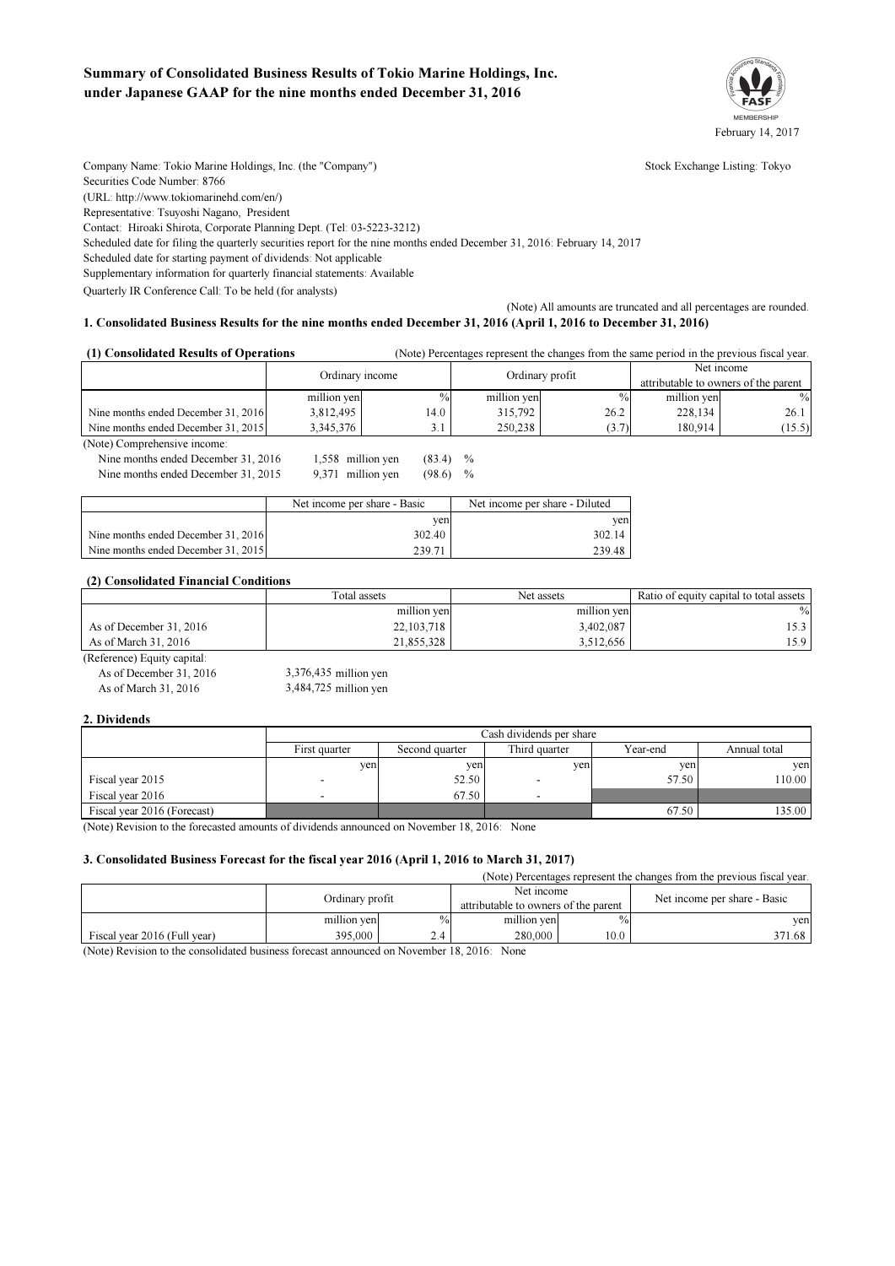# Summary of Consolidated Business Results of Tokio Marine Holdings, Inc. under Japanese GAAP for the nine months ended December 31, 2016



Company Name: Tokio Marine Holdings, Inc. (the "Company") Stock Exchange Listing: Tokyo Securities Code Number: 8766 (URL: http://www.tokiomarinehd.com/en/) Representative: Tsuyoshi Nagano, President Contact: Hiroaki Shirota, Corporate Planning Dept. (Tel: 03-5223-3212) Scheduled date for filing the quarterly securities report for the nine months ended December 31, 2016: February 14, 2017 Scheduled date for starting payment of dividends: Not applicable Supplementary information for quarterly financial statements: Available

Quarterly IR Conference Call: To be held (for analysts)

(Note) All amounts are truncated and all percentages are rounded. 1. Consolidated Business Results for the nine months ended December 31, 2016 (April 1, 2016 to December 31, 2016)

#### (Note) Percentages represent the changes from the same period in the previous fiscal year. (1) Consolidated Results of Operations

|                                     | Ordinary income |               | Ordinary profit |       | Net income                           |        |
|-------------------------------------|-----------------|---------------|-----------------|-------|--------------------------------------|--------|
|                                     |                 |               |                 |       | attributable to owners of the parent |        |
|                                     | million yen     | $\frac{0}{0}$ | million ven     | $\%$  | million ven                          | $\%$   |
| Nine months ended December 31, 2016 | 3,812,495       | 14.0          | 315.792         | 26.2  | 228.134                              | 26.1   |
| Nine months ended December 31, 2015 | 3.345.376       | J.I           | 250.238         | (3.7) | 180.914                              | (15.5) |

(Note) Comprehensive income: Nine months ended December 31, 2016 Nine months ended December 31, 2015  $(83.4)$ 1,558 9,371

|                       | $\%$          |
|-----------------------|---------------|
| (98.6)<br>million yen | $\frac{0}{0}$ |

|                                     | Net income per share - Basic | Net income per share - Diluted |  |
|-------------------------------------|------------------------------|--------------------------------|--|
|                                     | ven                          | ven                            |  |
| Nine months ended December 31, 2016 | 302.40                       | 302.14                         |  |
| Nine months ended December 31, 2015 | 239.71                       | 239.48                         |  |

### (2) Consolidated Financial Conditions

|                         | Total assets | Net assets  | Ratio of equity capital to total assets |
|-------------------------|--------------|-------------|-----------------------------------------|
|                         | million yen  | million yen | $\%$                                    |
| As of December 31, 2016 | 22, 103, 718 | 3,402,087   |                                         |
| As of March 31, 2016    | 21.855.328   | 3.512.656   | 15.9                                    |

(Reference) Equity capital: As of December 31, 2016 As of March 31, 2016 3,484,725 million yen 3,376,435

2. Dividends

|                             | Cash dividends per share |                |               |          |              |  |  |
|-----------------------------|--------------------------|----------------|---------------|----------|--------------|--|--|
|                             | First quarter            | Second quarter | Third quarter | Year-end | Annual total |  |  |
|                             | ven                      | ven            | yen           | yen.     | ven          |  |  |
| Fiscal year 2015            |                          | 52.50          |               | 57.50    | 10.00        |  |  |
| Fiscal year 2016            | -                        | 67.50          |               |          |              |  |  |
| Fiscal year 2016 (Forecast) |                          |                |               | 67.50    | 135.00       |  |  |

(Note) Revision to the forecasted amounts of dividends announced on November 18, 2016: None

### 3. Consolidated Business Forecast for the fiscal year 2016 (April 1, 2016 to March 31, 2017)

(Note) Percentages represent the changes from the previous fiscal year.

|                              | Ordinary profit |               | Net income<br>attributable to owners of the parent |      | Net income per share - Basic |
|------------------------------|-----------------|---------------|----------------------------------------------------|------|------------------------------|
|                              | million yen     | $\frac{0}{0}$ | million yen                                        | $\%$ | ven                          |
| Fiscal vear 2016 (Full vear) | 395,000         | 2.4           | 280,000                                            | 10.0 | 371.68                       |

(Note) Revision to the consolidated business forecast announced on November 18, 2016: None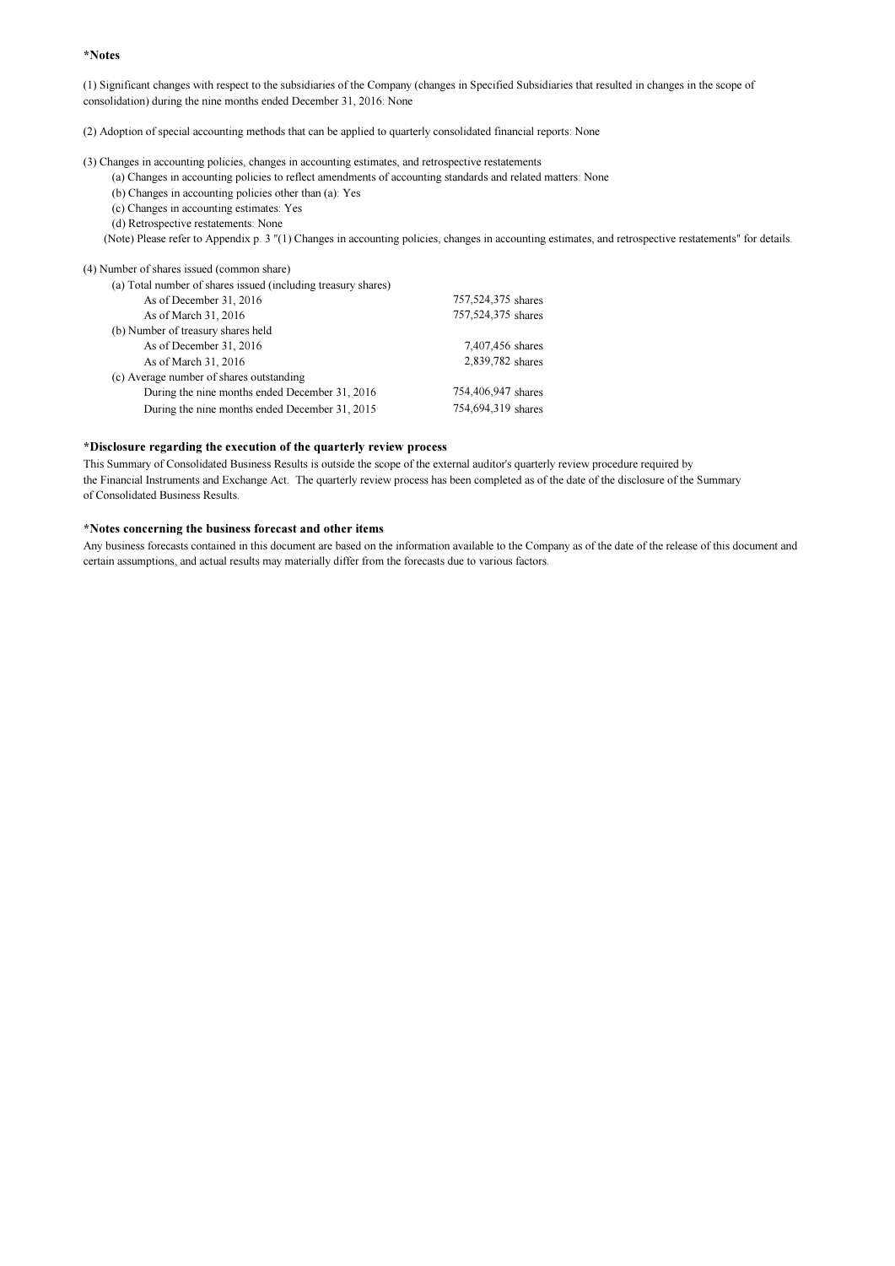#### \*Notes

(1) Significant changes with respect to the subsidiaries of the Company (changes in Specified Subsidiaries that resulted in changes in the scope of consolidation) during the nine months ended December 31, 2016: None

(2) Adoption of special accounting methods that can be applied to quarterly consolidated financial reports: None

(3) Changes in accounting policies, changes in accounting estimates, and retrospective restatements

(a) Changes in accounting policies to reflect amendments of accounting standards and related matters: None

(b) Changes in accounting policies other than (a): Yes

(c) Changes in accounting estimates: Yes

(d) Retrospective restatements: None

(Note) Please refer to Appendix p. 3 "(1) Changes in accounting policies, changes in accounting estimates, and retrospective restatements" for details.

(4) Number of shares issued (common share)

| (a) Total number of shares issued (including treasury shares) |                    |
|---------------------------------------------------------------|--------------------|
| As of December 31, 2016                                       | 757,524,375 shares |
| As of March 31, 2016                                          | 757,524,375 shares |
| (b) Number of treasury shares held                            |                    |
| As of December 31, 2016                                       | 7,407,456 shares   |
| As of March 31, 2016                                          | 2,839,782 shares   |
| (c) Average number of shares outstanding                      |                    |
| During the nine months ended December 31, 2016                | 754,406,947 shares |
| During the nine months ended December 31, 2015                | 754,694,319 shares |

#### \*Disclosure regarding the execution of the quarterly review process

This Summary of Consolidated Business Results is outside the scope of the external auditor's quarterly review procedure required by the Financial Instruments and Exchange Act. The quarterly review process has been completed as of the date of the disclosure of the Summary of Consolidated Business Results.

## \*Notes concerning the business forecast and other items

Any business forecasts contained in this document are based on the information available to the Company as of the date of the release of this document and certain assumptions, and actual results may materially differ from the forecasts due to various factors.